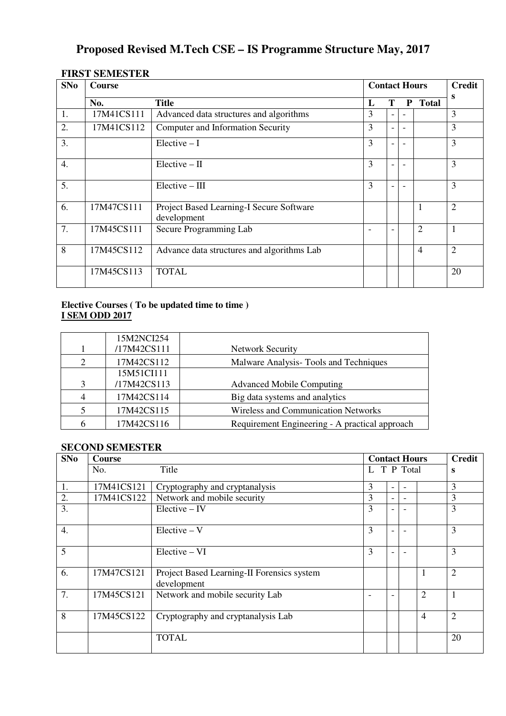# **Proposed Revised M.Tech CSE – IS Programme Structure May, 2017**

## **FIRST SEMESTER**

| SNo              | <b>Course</b> |                                                         |   | <b>Contact Hours</b> |   |                |                |  |
|------------------|---------------|---------------------------------------------------------|---|----------------------|---|----------------|----------------|--|
|                  | No.           | Title                                                   | L | Т                    | P | <b>Total</b>   | S              |  |
| 1.               | 17M41CS111    | Advanced data structures and algorithms                 | 3 |                      |   |                | 3              |  |
| 2.               | 17M41CS112    | Computer and Information Security                       | 3 |                      |   |                | 3              |  |
| 3.               |               | $Electric - I$                                          | 3 |                      |   |                | 3              |  |
| $\overline{4}$ . |               | $Elective - II$                                         | 3 |                      |   |                | 3              |  |
| 5.               |               | $Elective - III$                                        | 3 |                      |   |                | 3              |  |
| 6.               | 17M47CS111    | Project Based Learning-I Secure Software<br>development |   |                      |   | $\mathbf{1}$   | $\overline{2}$ |  |
| 7.               | 17M45CS111    | Secure Programming Lab                                  |   |                      |   | $\overline{2}$ | $\mathbf{1}$   |  |
| 8                | 17M45CS112    | Advance data structures and algorithms Lab              |   |                      |   | $\overline{4}$ | $\overline{2}$ |  |
|                  | 17M45CS113    | <b>TOTAL</b>                                            |   |                      |   |                | 20             |  |

#### **Elective Courses ( To be updated time to time ) I SEM ODD 2017**

|   | 15M2NCI254  |                                                |
|---|-------------|------------------------------------------------|
|   | /17M42CS111 | <b>Network Security</b>                        |
| 2 | 17M42CS112  | Malware Analysis-Tools and Techniques          |
|   | 15M51CI111  |                                                |
| 3 | /17M42CS113 | <b>Advanced Mobile Computing</b>               |
| 4 | 17M42CS114  | Big data systems and analytics                 |
|   | 17M42CS115  | <b>Wireless and Communication Networks</b>     |
| 6 | 17M42CS116  | Requirement Engineering - A practical approach |

### **SECOND SEMESTER**

| SNo              | <b>Course</b> |                                                           |             | <b>Contact Hours</b> |                          |                |                |  |
|------------------|---------------|-----------------------------------------------------------|-------------|----------------------|--------------------------|----------------|----------------|--|
|                  | No.           | Title                                                     | L T P Total |                      |                          |                | S              |  |
| 1.               | 17M41CS121    | Cryptography and cryptanalysis                            | 3           | ۰                    | $\overline{\phantom{0}}$ |                | 3              |  |
| 2.               | 17M41CS122    | Network and mobile security                               | 3           |                      | $\overline{\phantom{0}}$ |                | 3              |  |
| 3.               |               | $Electric - IV$                                           | 3           |                      |                          |                | 3              |  |
| $\overline{4}$ . |               | $Electric - V$                                            | 3           |                      |                          |                | 3              |  |
| $\overline{5}$   |               | $Electric - VI$                                           | 3           |                      |                          |                | 3              |  |
| 6.               | 17M47CS121    | Project Based Learning-II Forensics system<br>development |             |                      |                          | 1              | $\overline{2}$ |  |
| 7.               | 17M45CS121    | Network and mobile security Lab                           |             |                      |                          | $\overline{2}$ | $\mathbf{1}$   |  |
| 8                | 17M45CS122    | Cryptography and cryptanalysis Lab                        |             |                      |                          | $\overline{4}$ | $\overline{2}$ |  |
|                  |               | <b>TOTAL</b>                                              |             |                      |                          |                | 20             |  |